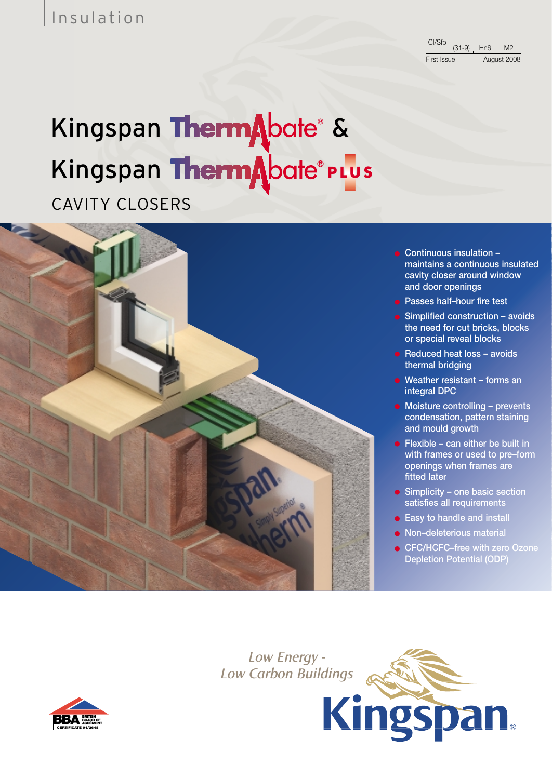Insulation

CI/Sfb First Issue August 2008 (31-9) Hn6 M2

# Kingspan ThermAbate® & Kingspan ThermAbate®PLus

CAVITY CLOSERS



- **Continuous insulation – maintains a continuous insulated cavity closer around window and door openings**
- **Passes half–hour fire test**
- **Simplified construction avoids the need for cut bricks, blocks or special reveal blocks**
- **Reduced heat loss avoids thermal bridging**
- **Weather resistant forms an integral DPC**
- **Moisture controlling prevents condensation, pattern staining and mould growth**
- **Flexible can either be built in with frames or used to pre–form openings when frames are fitted later**
- **Simplicity one basic section satisfies all requirements**
- **Easy to handle and install**
- **Non–deleterious material**

**Kingspan** 

● **CFC/HCFC–free with zero Ozone Depletion Potential (ODP)**

*Low Energy - Low Carbon Buildings*

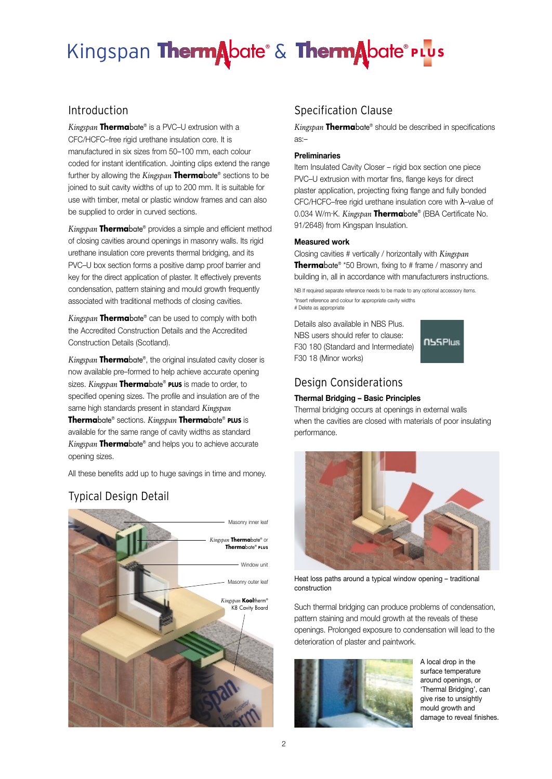*Kingspan* **Therma**bate® is a PVC–U extrusion with a CFC/HCFC–free rigid urethane insulation core. It is manufactured in six sizes from 50–100 mm, each colour coded for instant identification. Jointing clips extend the range further by allowing the *Kingspan* **Therma**bate® sections to be joined to suit cavity widths of up to 200 mm. It is suitable for use with timber, metal or plastic window frames and can also be supplied to order in curved sections.

*Kingspan* **Therma**bate® provides a simple and efficient method of closing cavities around openings in masonry walls. Its rigid urethane insulation core prevents thermal bridging, and its PVC–U box section forms a positive damp proof barrier and key for the direct application of plaster. It effectively prevents condensation, pattern staining and mould growth frequently associated with traditional methods of closing cavities.

*Kingspan* **Therma**bate® can be used to comply with both the Accredited Construction Details and the Accredited Construction Details (Scotland).

*Kingspan* **Therma**bate®, the original insulated cavity closer is now available pre–formed to help achieve accurate opening sizes. *Kingspan* **Therma**bate® **PLUS** is made to order, to specified opening sizes. The profile and insulation are of the same high standards present in standard *Kingspan* **Therma**bate® sections. *Kingspan* **Therma**bate® **PLUS** is available for the same range of cavity widths as standard *Kingspan* **Therma**bate® and helps you to achieve accurate opening sizes.

All these benefits add up to huge savings in time and money.

#### Typical Design Detail



#### Introduction **Specification** Clause

*Kingspan* **Therma**bate® should be described in specifications as:–

#### **Preliminaries**

Item Insulated Cavity Closer – rigid box section one piece PVC–U extrusion with mortar fins, flange keys for direct plaster application, projecting fixing flange and fully bonded CFC/HCFC–free rigid urethane insulation core with λ–value of 0.034 W/m.K. *Kingspan* **Therma**bate® (BBA Certificate No. 91/2648) from Kingspan Insulation.

#### **Measured work**

Closing cavities # vertically / horizontally with *Kingspan* **Therma**bate<sup>®</sup> \*50 Brown, fixing to # frame / masonry and building in, all in accordance with manufacturers instructions.

NB If required separate reference needs to be made to any optional accessory items. \*Insert reference and colour for appropriate cavity widths # Delete as appropriate

Details also available in NBS Plus. NBS users should refer to clause: F30 180 (Standard and Intermediate) F30 18 (Minor works)



#### Design Considerations

#### **Thermal Bridging – Basic Principles**

Thermal bridging occurs at openings in external walls when the cavities are closed with materials of poor insulating performance.



Heat loss paths around a typical window opening – traditional construction

Such thermal bridging can produce problems of condensation, pattern staining and mould growth at the reveals of these openings. Prolonged exposure to condensation will lead to the deterioration of plaster and paintwork.



A local drop in the surface temperature around openings, or 'Thermal Bridging', can give rise to unsightly mould growth and damage to reveal finishes.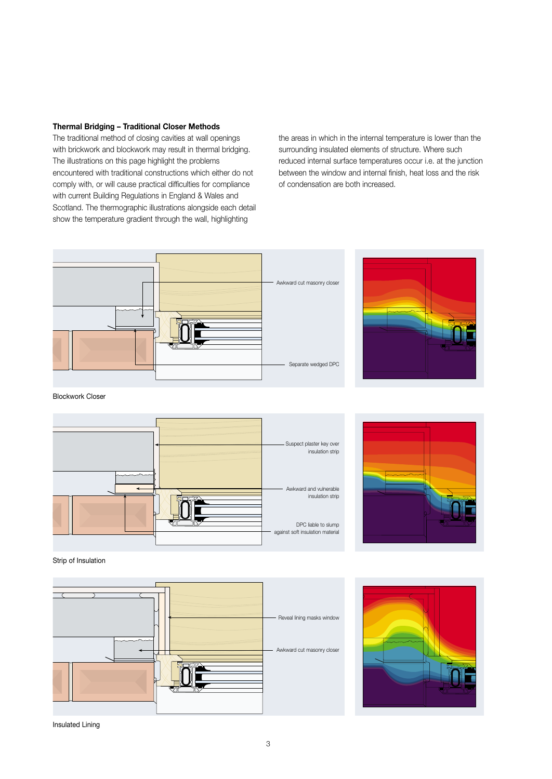#### **Thermal Bridging – Traditional Closer Methods**

The traditional method of closing cavities at wall openings with brickwork and blockwork may result in thermal bridging. The illustrations on this page highlight the problems encountered with traditional constructions which either do not comply with, or will cause practical difficulties for compliance with current Building Regulations in England & Wales and Scotland. The thermographic illustrations alongside each detail show the temperature gradient through the wall, highlighting

the areas in which in the internal temperature is lower than the surrounding insulated elements of structure. Where such reduced internal surface temperatures occur i.e. at the junction between the window and internal finish, heat loss and the risk of condensation are both increased.





Blockwork Closer





Strip of Insulation





Insulated Lining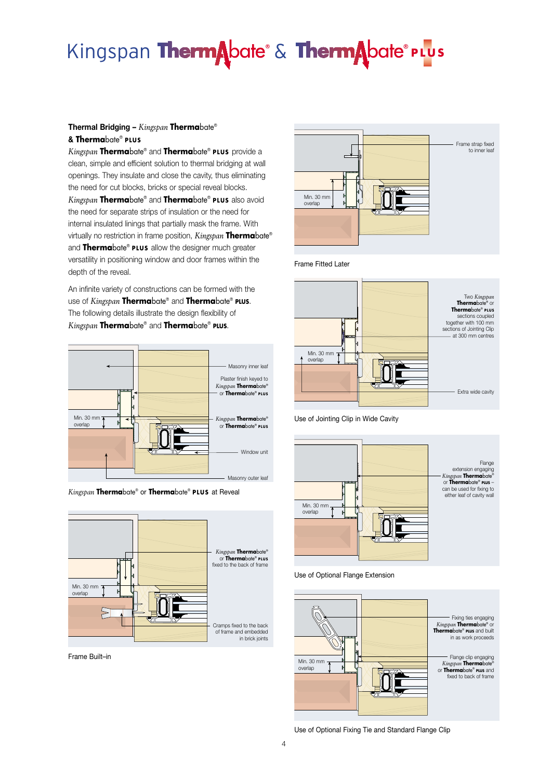#### **Thermal Bridging –** *Kingspan* **Therma**bate® **& Therma**bate® **PLUS**

*Kingspan* **Therma**bate® and **Therma**bate® **PLUS** provide a clean, simple and efficient solution to thermal bridging at wall openings. They insulate and close the cavity, thus eliminating the need for cut blocks, bricks or special reveal blocks. *Kingspan* **Therma**bate® and **Therma**bate® **PLUS** also avoid the need for separate strips of insulation or the need for internal insulated linings that partially mask the frame. With virtually no restriction in frame position, *Kingspan* **Therma**bate® and **Therma**bate® **PLUS** allow the designer much greater versatility in positioning window and door frames within the depth of the reveal.

An infinite variety of constructions can be formed with the use of *Kingspan* **Therma**bate® and **Therma**bate® **PLUS**. The following details illustrate the design flexibility of *Kingspan* **Therma**bate® and **Therma**bate® **PLUS**.







Frame Built–in



Frame Fitted Later



Use of Jointing Clip in Wide Cavity



Use of Optional Flange Extension



Use of Optional Fixing Tie and Standard Flange Clip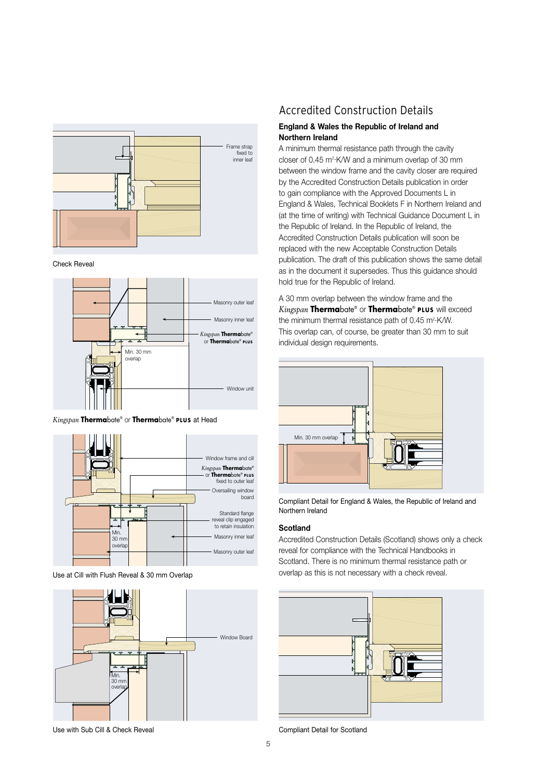

Check Reveal



*Kingspan* **Therma**bate® or **Therma**bate® **PLUS** at Head



Use at Cill with Flush Reveal & 30 mm Overlap



#### Accredited Construction Details

#### **England & Wales the Republic of Ireland and Northern Ireland**

A minimum thermal resistance path through the cavity closer of 0.45 m2.K/W and a minimum overlap of 30 mm between the window frame and the cavity closer are required by the Accredited Construction Details publication in order to gain compliance with the Approved Documents L in England & Wales, Technical Booklets F in Northern Ireland and (at the time of writing) with Technical Guidance Document L in the Republic of Ireland. In the Republic of Ireland, the Accredited Construction Details publication will soon be replaced with the new Acceptable Construction Details publication. The draft of this publication shows the same detail as in the document it supersedes. Thus this guidance should hold true for the Republic of Ireland.

A 30 mm overlap between the window frame and the *Kingspan* **Therma**bate® or **Therma**bate® **PLUS** will exceed the minimum thermal resistance path of  $0.45$  m<sup>2</sup> K/W. This overlap can, of course, be greater than 30 mm to suit individual design requirements.



Compliant Detail for England & Wales, the Republic of Ireland and Northern Ireland

#### **Scotland**

Accredited Construction Details (Scotland) shows only a check reveal for compliance with the Technical Handbooks in Scotland. There is no minimum thermal resistance path or overlap as this is not necessary with a check reveal.



Compliant Detail for Scotland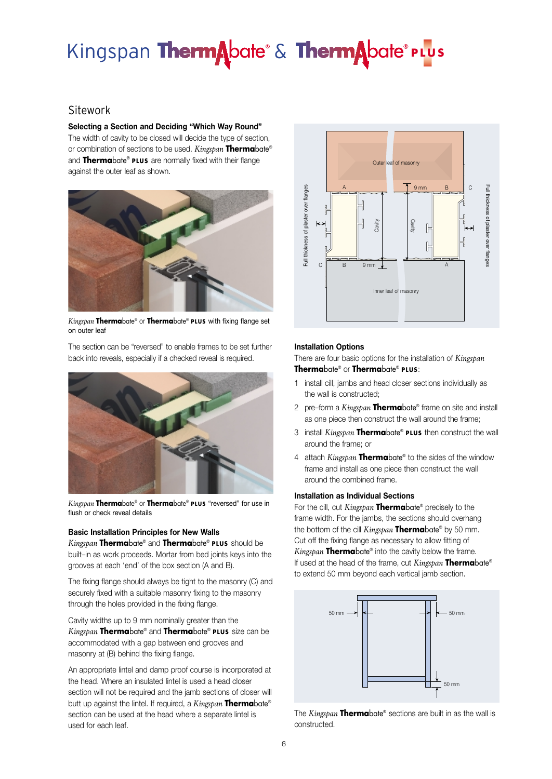#### Sitework

**Selecting a Section and Deciding "Which Way Round"** The width of cavity to be closed will decide the type of section, or combination of sections to be used. *Kingspan* **Therma**bate® and **Therma**bate® **PLUS** are normally fixed with their flange against the outer leaf as shown.



*Kingspan* **Therma**bate® or **Therma**bate® **PLUS** with fixing flange set on outer leaf

The section can be "reversed" to enable frames to be set further back into reveals, especially if a checked reveal is required.



*Kingspan* **Therma**bate® or **Therma**bate® **PLUS** "reversed" for use in flush or check reveal details

#### **Basic Installation Principles for New Walls**

*Kingspan* **Therma**bate® and **Therma**bate® **PLUS** should be built–in as work proceeds. Mortar from bed joints keys into the grooves at each 'end' of the box section (A and B).

The fixing flange should always be tight to the masonry (C) and securely fixed with a suitable masonry fixing to the masonry through the holes provided in the fixing flange.

Cavity widths up to 9 mm nominally greater than the *Kingspan* **Therma**bate® and **Therma**bate® **PLUS** size can be accommodated with a gap between end grooves and masonry at (B) behind the fixing flange.

An appropriate lintel and damp proof course is incorporated at the head. Where an insulated lintel is used a head closer section will not be required and the jamb sections of closer will butt up against the lintel. If required, a *Kingspan* **Therma**bate® section can be used at the head where a separate lintel is used for each leaf.



#### **Installation Options**

There are four basic options for the installation of *Kingspan* **Therma**bate® or **Therma**bate® **PLUS**:

- 1 install cill, jambs and head closer sections individually as the wall is constructed;
- 2 pre–form a *Kingspan* **Therma**bate® frame on site and install as one piece then construct the wall around the frame;
- 3 install *Kingspan* **Therma**bate® **PLUS** then construct the wall around the frame; or
- 4 attach *Kingspan* **Therma**bate® to the sides of the window frame and install as one piece then construct the wall around the combined frame.

#### **Installation as Individual Sections**

For the cill, cut *Kingspan* **Therma**bate® precisely to the frame width. For the jambs, the sections should overhang the bottom of the cill *Kingspan* **Therma**bate® by 50 mm. Cut off the fixing flange as necessary to allow fitting of *Kingspan* **Therma**bate® into the cavity below the frame. If used at the head of the frame, cut *Kingspan* **Therma**bate® to extend 50 mm beyond each vertical jamb section.



The *Kingspan* **Therma**bate® sections are built in as the wall is constructed.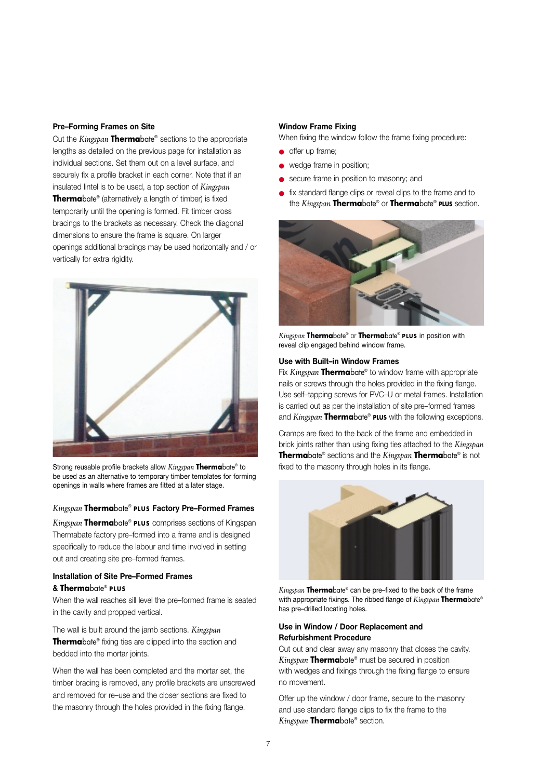#### **Pre–Forming Frames on Site**

Cut the *Kingspan* **Therma**bate® sections to the appropriate lengths as detailed on the previous page for installation as individual sections. Set them out on a level surface, and securely fix a profile bracket in each corner. Note that if an insulated lintel is to be used, a top section of *Kingspan* **Therma**bate<sup>®</sup> (alternatively a length of timber) is fixed temporarily until the opening is formed. Fit timber cross bracings to the brackets as necessary. Check the diagonal dimensions to ensure the frame is square. On larger openings additional bracings may be used horizontally and / or vertically for extra rigidity.



Strong reusable profile brackets allow *Kingspan* **Therma**bate® to be used as an alternative to temporary timber templates for forming openings in walls where frames are fitted at a later stage.

#### *Kingspan* **Therma**bate® **PLUS Factory Pre–Formed Frames**

*Kingspan* **Therma**bate® **PLUS** comprises sections of Kingspan Thermabate factory pre–formed into a frame and is designed specifically to reduce the labour and time involved in setting out and creating site pre–formed frames.

#### **Installation of Site Pre–Formed Frames**

#### **& Therma**bate® **PLUS**

When the wall reaches sill level the pre–formed frame is seated in the cavity and propped vertical.

The wall is built around the jamb sections. *Kingspan* **Therma**bate® fixing ties are clipped into the section and bedded into the mortar joints.

When the wall has been completed and the mortar set, the timber bracing is removed, any profile brackets are unscrewed and removed for re–use and the closer sections are fixed to the masonry through the holes provided in the fixing flange.

#### **Window Frame Fixing**

When fixing the window follow the frame fixing procedure:

- offer up frame:
- wedge frame in position;
- secure frame in position to masonry; and
- fix standard flange clips or reveal clips to the frame and to the *Kingspan* **Therma**bate® or **Therma**bate® **PLUS** section.



*Kingspan* **Therma**bate® or **Therma**bate® **PLUS** in position with reveal clip engaged behind window frame.

#### **Use with Built–in Window Frames**

Fix *Kingspan* **Therma**bate® to window frame with appropriate nails or screws through the holes provided in the fixing flange. Use self–tapping screws for PVC–U or metal frames. Installation is carried out as per the installation of site pre–formed frames and *Kingspan* **Therma**bate® **PLUS** with the following exceptions.

Cramps are fixed to the back of the frame and embedded in brick joints rather than using fixing ties attached to the *Kingspan* **Therma**bate® sections and the *Kingspan* **Therma**bate® is not fixed to the masonry through holes in its flange.



*Kingspan* **Therma**bate® can be pre–fixed to the back of the frame with appropriate fixings. The ribbed flange of *Kingspan* **Therma**bate® has pre–drilled locating holes.

#### **Use in Window / Door Replacement and Refurbishment Procedure**

Cut out and clear away any masonry that closes the cavity. *Kingspan* **Therma**bate® must be secured in position with wedges and fixings through the fixing flange to ensure no movement.

Offer up the window / door frame, secure to the masonry and use standard flange clips to fix the frame to the *Kingspan* **Therma**bate® section.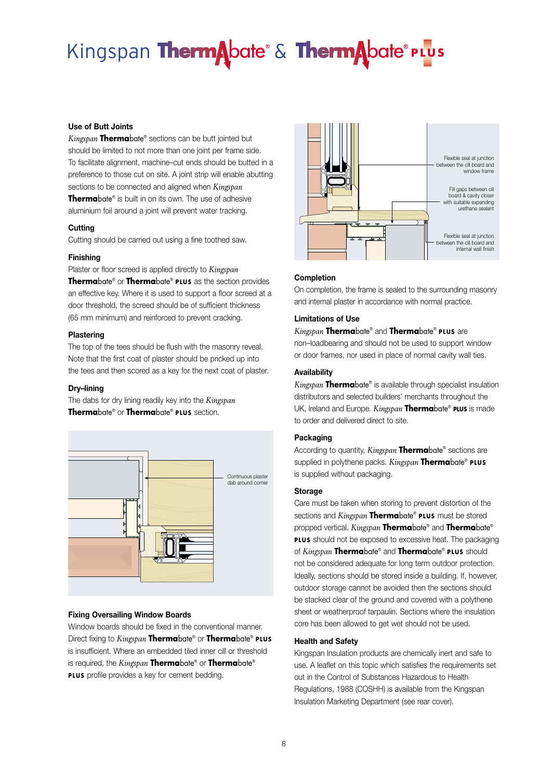#### **Use of Butt Joints**

*Kingspan* **Therma**bate® sections can be butt jointed but should be limited to not more than one joint per frame side. To facilitate alignment, machine–cut ends should be butted in a preference to those cut on site. A joint strip will enable abutting sections to be connected and aligned when *Kingspan* **Therma**bate® is built in on its own. The use of adhesive aluminium foil around a joint will prevent water tracking.

#### **Cutting**

Cutting should be carried out using a fine toothed saw.

#### **Finishing**

Plaster or floor screed is applied directly to *Kingspan* **Therma**bate® or **Therma**bate® **PLUS** as the section provides an effective key. Where it is used to support a floor screed at a door threshold, the screed should be of sufficient thickness (65 mm minimum) and reinforced to prevent cracking.

#### **Plastering**

The top of the tees should be flush with the masonry reveal. Note that the first coat of plaster should be pricked up into the tees and then scored as a key for the next coat of plaster.

#### **Dry–lining**

The dabs for dry lining readily key into the *Kingspan* **Therma**bate® or **Therma**bate® **PLUS** section.



#### **Fixing Oversailing Window Boards**

Window boards should be fixed in the conventional manner. Direct fixing to *Kingspan* **Therma**bate® or **Therma**bate® **PLUS** is insufficient. Where an embedded tiled inner cill or threshold is required, the *Kingspan* **Therma**bate® or **Therma**bate® **PLUS** profile provides a key for cement bedding.



#### **Completion**

On completion, the frame is sealed to the surrounding masonry and internal plaster in accordance with normal practice.

#### **Limitations of Use**

#### *Kingspan* **Therma**bate® and **Therma**bate® **PLUS** are

non–loadbearing and should not be used to support window or door frames, nor used in place of normal cavity wall ties.

#### **Availability**

*Kingspan* **Therma**bate® is available through specialist insulation distributors and selected builders' merchants throughout the UK, Ireland and Europe. *Kingspan* **Therma**bate® **PLUS** is made to order and delivered direct to site.

#### **Packaging**

According to quantity, *Kingspan* **Therma**bate® sections are supplied in polythene packs. *Kingspan* **Therma**bate® **PLUS** is supplied without packaging.

#### **Storage**

Care must be taken when storing to prevent distortion of the sections and *Kingspan* **Therma**bate® **PLUS** must be stored propped vertical. *Kingspan* **Therma**bate® and **Therma**bate® **PLUS** should not be exposed to excessive heat. The packaging of *Kingspan* **Therma**bate® and **Therma**bate® **PLUS** should not be considered adequate for long term outdoor protection. Ideally, sections should be stored inside a building. If, however, outdoor storage cannot be avoided then the sections should be stacked clear of the ground and covered with a polythene sheet or weatherproof tarpaulin. Sections where the insulation core has been allowed to get wet should not be used.

#### **Health and Safety**

Kingspan Insulation products are chemically inert and safe to use. A leaflet on this topic which satisfies the requirements set out in the Control of Substances Hazardous to Health Regulations, 1988 (COSHH) is available from the Kingspan Insulation Marketing Department (see rear cover).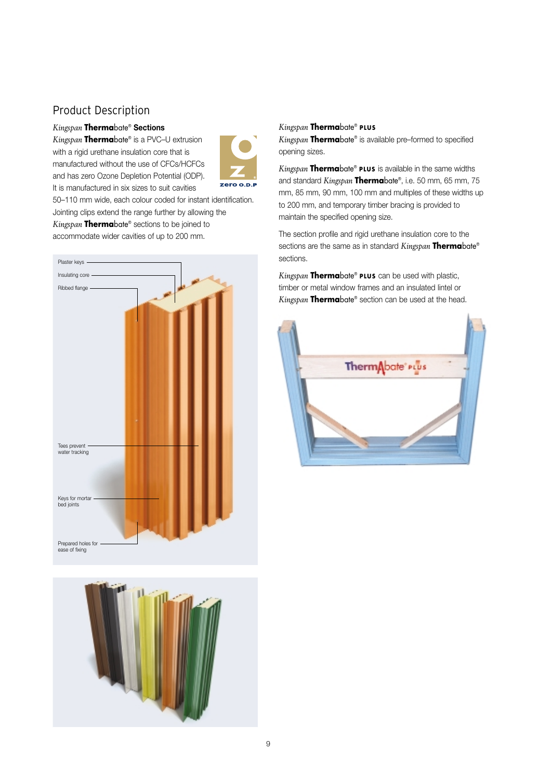#### Product Description

#### *Kingspan* **Therma**bate® **Sections**

*Kingspan* **Therma**bate® is a PVC–U extrusion with a rigid urethane insulation core that is manufactured without the use of CFCs/HCFCs and has zero Ozone Depletion Potential (ODP). It is manufactured in six sizes to suit cavities



50–110 mm wide, each colour coded for instant identification. Jointing clips extend the range further by allowing the *Kingspan* **Therma**bate® sections to be joined to accommodate wider cavities of up to 200 mm.





#### *Kingspan* **Therma**bate® **PLUS**

*Kingspan* **Therma**bate® is available pre–formed to specified opening sizes.

*Kingspan* **Therma**bate® **PLUS** is available in the same widths and standard *Kingspan* **Therma**bate®, i.e. 50 mm, 65 mm, 75 mm, 85 mm, 90 mm, 100 mm and multiples of these widths up to 200 mm, and temporary timber bracing is provided to maintain the specified opening size.

The section profile and rigid urethane insulation core to the sections are the same as in standard *Kingspan* **Therma**bate® sections.

*Kingspan* **Therma**bate® **PLUS** can be used with plastic, timber or metal window frames and an insulated lintel or *Kingspan* **Therma**bate® section can be used at the head.

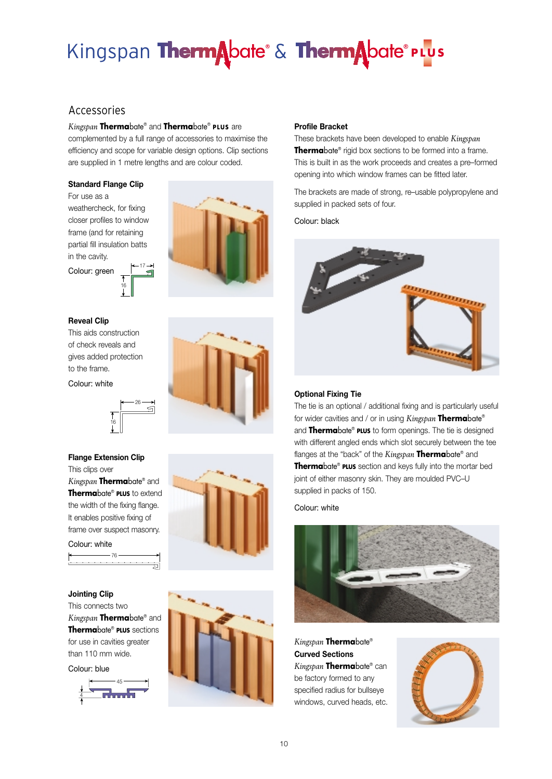#### Accessories

#### *Kingspan* **Therma**bate® and **Therma**bate® **PLUS** are

complemented by a full range of accessories to maximise the efficiency and scope for variable design options. Clip sections are supplied in 1 metre lengths and are colour coded.

#### **Standard Flange Clip**

For use as a weathercheck, for fixing closer profiles to window frame (and for retaining partial fill insulation batts in the cavity.



Colour: green  $\begin{matrix} 1 \ 16 \end{matrix}$ 17

#### **Reveal Clip**

This aids construction of check reveals and gives added protection to the frame.

#### Colour: white



#### **Flange Extension Clip**

16

26

S

戸

This clips over *Kingspan* **Therma**bate® and **Therma**bate® **PLUS** to extend the width of the fixing flange. It enables positive fixing of frame over suspect masonry.

76

Colour: white

#### **Jointing Clip**

This connects two *Kingspan* **Therma**bate® and **Therma**bate® **PLUS** sections for use in cavities greater than 110 mm wide.

Colour: blue





#### **Profile Bracket**

These brackets have been developed to enable *Kingspan* **Therma**bate® rigid box sections to be formed into a frame. This is built in as the work proceeds and creates a pre–formed opening into which window frames can be fitted later.

The brackets are made of strong, re–usable polypropylene and supplied in packed sets of four.

Colour: black



#### **Optional Fixing Tie**

The tie is an optional / additional fixing and is particularly useful for wider cavities and / or in using *Kingspan* **Therma**bate® and **Therma**bate® **PLUS** to form openings. The tie is designed with different angled ends which slot securely between the tee flanges at the "back" of the *Kingspan* **Therma**bate® and **Therma**bate® **PLUS** section and keys fully into the mortar bed joint of either masonry skin. They are moulded PVC–U supplied in packs of 150.

Colour: white



*Kingspan* **Therma**bate® **Curved Sections** *Kingspan* **Therma**bate® can be factory formed to any specified radius for bullseye windows, curved heads, etc.

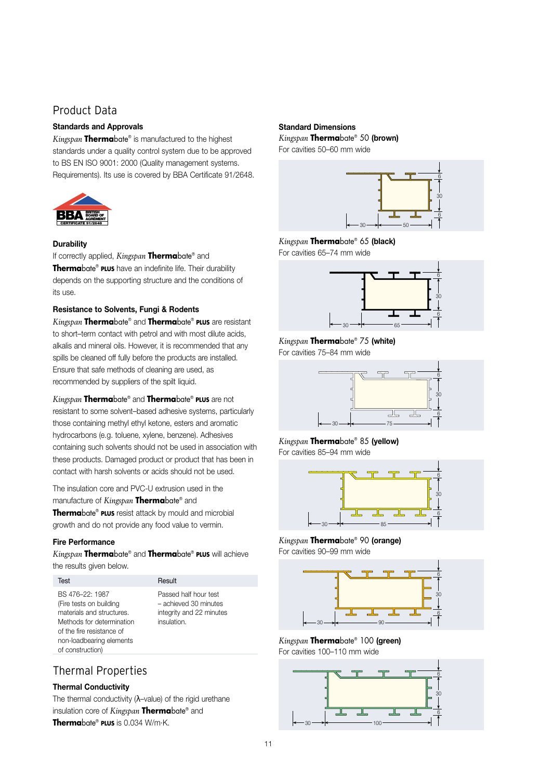#### Product Data

#### **Standards and Approvals**

*Kingspan* **Therma**bate® is manufactured to the highest standards under a quality control system due to be approved to BS EN ISO 9001: 2000 (Quality management systems. Requirements). Its use is covered by BBA Certificate 91/2648.



#### **Durability**

If correctly applied, *Kingspan* **Therma**bate® and **Therma**bate® **PLUS** have an indefinite life. Their durability depends on the supporting structure and the conditions of its use.

#### **Resistance to Solvents, Fungi & Rodents**

*Kingspan* **Therma**bate® and **Therma**bate® **PLUS** are resistant to short–term contact with petrol and with most dilute acids, alkalis and mineral oils. However, it is recommended that any spills be cleaned off fully before the products are installed. Ensure that safe methods of cleaning are used, as recommended by suppliers of the spilt liquid.

*Kingspan* **Therma**bate® and **Therma**bate® **PLUS** are not resistant to some solvent–based adhesive systems, particularly those containing methyl ethyl ketone, esters and aromatic hydrocarbons (e.g. toluene, xylene, benzene). Adhesives containing such solvents should not be used in association with these products. Damaged product or product that has been in contact with harsh solvents or acids should not be used.

The insulation core and PVC-U extrusion used in the manufacture of *Kingspan* **Therma**bate® and

**Therma**bate® **PLUS** resist attack by mould and microbial growth and do not provide any food value to vermin.

#### **Fire Performance**

*Kingspan* **Therma**bate® and **Therma**bate® **PLUS** will achieve the results given below.

Test Result

BS 476–22: 1987 Passed half hour test (Fire tests on building – achieved 30 minutes materials and structures. integrity and 22 minutes Methods for determination insulation. of the fire resistance of non-loadbearing elements of construction)

#### Thermal Properties

#### **Thermal Conductivity**

The thermal conductivity (λ–value) of the rigid urethane insulation core of *Kingspan* **Therma**bate® and **Therma**bate® **PLUS** is 0.034 W/m. K.

#### **Standard Dimensions**

*Kingspan* **Therma**bate® 50 **(brown)**  For cavities 50–60 mm wide



*Kingspan* **Therma**bate® 65 **(black)**  For cavities 65–74 mm wide



*Kingspan* **Therma**bate® 75 **(white)**  For cavities 75–84 mm wide



*Kingspan* **Therma**bate® 85 **(yellow)**  For cavities 85–94 mm wide



*Kingspan* **Therma**bate® 90 **(orange)**  For cavities 90–99 mm wide



*Kingspan* **Therma**bate® 100 **(green)**  For cavities 100–110 mm wide